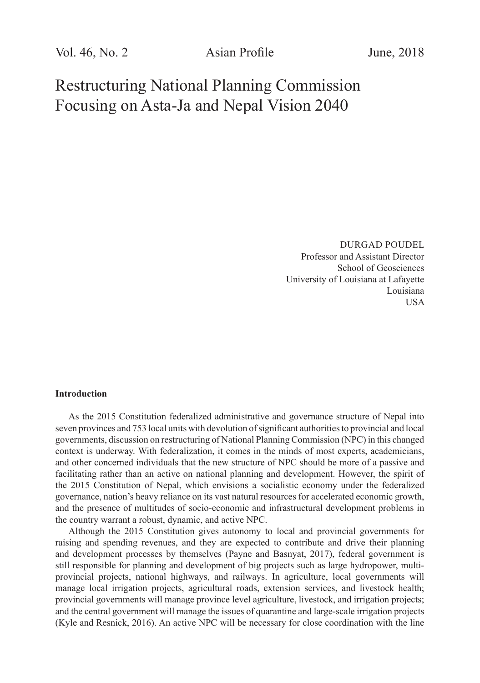Restructuring National Planning Commission Focusing on Asta-Ja and Nepal Vision 2040

> DURGAD POUDEL Professor and Assistant Director School of Geosciences University of Louisiana at Lafayette Louisiana USA

## **Introduction**

As the 2015 Constitution federalized administrative and governance structure of Nepal into seven provinces and 753 local units with devolution of significant authorities to provincial and local governments, discussion on restructuring of National Planning Commission (NPC) in this changed context is underway. With federalization, it comes in the minds of most experts, academicians, and other concerned individuals that the new structure of NPC should be more of a passive and facilitating rather than an active on national planning and development. However, the spirit of the 2015 Constitution of Nepal, which envisions a socialistic economy under the federalized governance, nation's heavy reliance on its vast natural resources for accelerated economic growth, and the presence of multitudes of socio-economic and infrastructural development problems in the country warrant a robust, dynamic, and active NPC.

Although the 2015 Constitution gives autonomy to local and provincial governments for raising and spending revenues, and they are expected to contribute and drive their planning and development processes by themselves (Payne and Basnyat, 2017), federal government is still responsible for planning and development of big projects such as large hydropower, multiprovincial projects, national highways, and railways. In agriculture, local governments will manage local irrigation projects, agricultural roads, extension services, and livestock health; provincial governments will manage province level agriculture, livestock, and irrigation projects; and the central government will manage the issues of quarantine and large-scale irrigation projects (Kyle and Resnick, 2016). An active NPC will be necessary for close coordination with the line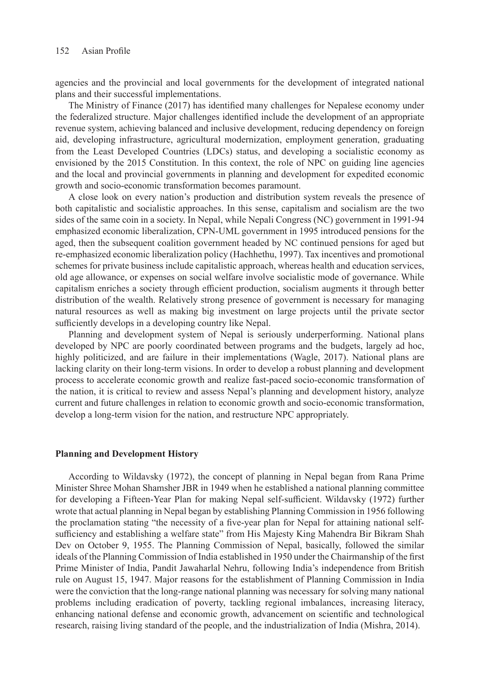agencies and the provincial and local governments for the development of integrated national plans and their successful implementations.

The Ministry of Finance (2017) has identified many challenges for Nepalese economy under the federalized structure. Major challenges identified include the development of an appropriate revenue system, achieving balanced and inclusive development, reducing dependency on foreign aid, developing infrastructure, agricultural modernization, employment generation, graduating from the Least Developed Countries (LDCs) status, and developing a socialistic economy as envisioned by the 2015 Constitution. In this context, the role of NPC on guiding line agencies and the local and provincial governments in planning and development for expedited economic growth and socio-economic transformation becomes paramount.

A close look on every nation's production and distribution system reveals the presence of both capitalistic and socialistic approaches. In this sense, capitalism and socialism are the two sides of the same coin in a society. In Nepal, while Nepali Congress (NC) government in 1991-94 emphasized economic liberalization, CPN-UML government in 1995 introduced pensions for the aged, then the subsequent coalition government headed by NC continued pensions for aged but re-emphasized economic liberalization policy (Hachhethu, 1997). Tax incentives and promotional schemes for private business include capitalistic approach, whereas health and education services, old age allowance, or expenses on social welfare involve socialistic mode of governance. While capitalism enriches a society through efficient production, socialism augments it through better distribution of the wealth. Relatively strong presence of government is necessary for managing natural resources as well as making big investment on large projects until the private sector sufficiently develops in a developing country like Nepal.

Planning and development system of Nepal is seriously underperforming. National plans developed by NPC are poorly coordinated between programs and the budgets, largely ad hoc, highly politicized, and are failure in their implementations (Wagle, 2017). National plans are lacking clarity on their long-term visions. In order to develop a robust planning and development process to accelerate economic growth and realize fast-paced socio-economic transformation of the nation, it is critical to review and assess Nepal's planning and development history, analyze current and future challenges in relation to economic growth and socio-economic transformation, develop a long-term vision for the nation, and restructure NPC appropriately.

## **Planning and Development History**

According to Wildavsky (1972), the concept of planning in Nepal began from Rana Prime Minister Shree Mohan Shamsher JBR in 1949 when he established a national planning committee for developing a Fifteen-Year Plan for making Nepal self-sufficient. Wildavsky (1972) further wrote that actual planning in Nepal began by establishing Planning Commission in 1956 following the proclamation stating "the necessity of a five-year plan for Nepal for attaining national selfsufficiency and establishing a welfare state" from His Majesty King Mahendra Bir Bikram Shah Dev on October 9, 1955. The Planning Commission of Nepal, basically, followed the similar ideals of the Planning Commission of India established in 1950 under the Chairmanship of the first Prime Minister of India, Pandit Jawaharlal Nehru, following India's independence from British rule on August 15, 1947. Major reasons for the establishment of Planning Commission in India were the conviction that the long-range national planning was necessary for solving many national problems including eradication of poverty, tackling regional imbalances, increasing literacy, enhancing national defense and economic growth, advancement on scientific and technological research, raising living standard of the people, and the industrialization of India (Mishra, 2014).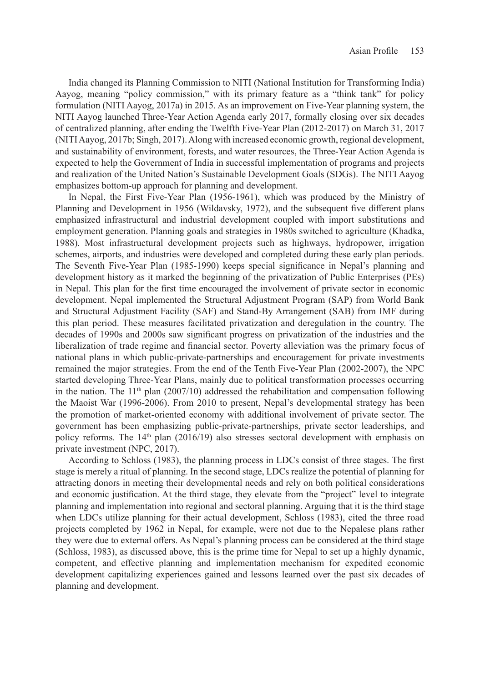India changed its Planning Commission to NITI (National Institution for Transforming India) Aayog, meaning "policy commission," with its primary feature as a "think tank" for policy formulation (NITI Aayog, 2017a) in 2015. As an improvement on Five-Year planning system, the NITI Aayog launched Three-Year Action Agenda early 2017, formally closing over six decades of centralized planning, after ending the Twelfth Five-Year Plan (2012-2017) on March 31, 2017 (NITI Aayog, 2017b; Singh, 2017). Along with increased economic growth, regional development, and sustainability of environment, forests, and water resources, the Three-Year Action Agenda is expected to help the Government of India in successful implementation of programs and projects and realization of the United Nation's Sustainable Development Goals (SDGs). The NITI Aayog emphasizes bottom-up approach for planning and development.

In Nepal, the First Five-Year Plan (1956-1961), which was produced by the Ministry of Planning and Development in 1956 (Wildavsky, 1972), and the subsequent five different plans emphasized infrastructural and industrial development coupled with import substitutions and employment generation. Planning goals and strategies in 1980s switched to agriculture (Khadka, 1988). Most infrastructural development projects such as highways, hydropower, irrigation schemes, airports, and industries were developed and completed during these early plan periods. The Seventh Five-Year Plan (1985-1990) keeps special significance in Nepal's planning and development history as it marked the beginning of the privatization of Public Enterprises (PEs) in Nepal. This plan for the first time encouraged the involvement of private sector in economic development. Nepal implemented the Structural Adjustment Program (SAP) from World Bank and Structural Adjustment Facility (SAF) and Stand-By Arrangement (SAB) from IMF during this plan period. These measures facilitated privatization and deregulation in the country. The decades of 1990s and 2000s saw significant progress on privatization of the industries and the liberalization of trade regime and financial sector. Poverty alleviation was the primary focus of national plans in which public-private-partnerships and encouragement for private investments remained the major strategies. From the end of the Tenth Five-Year Plan (2002-2007), the NPC started developing Three-Year Plans, mainly due to political transformation processes occurring in the nation. The  $11<sup>th</sup>$  plan (2007/10) addressed the rehabilitation and compensation following the Maoist War (1996-2006). From 2010 to present, Nepal's developmental strategy has been the promotion of market-oriented economy with additional involvement of private sector. The government has been emphasizing public-private-partnerships, private sector leaderships, and policy reforms. The  $14<sup>th</sup>$  plan (2016/19) also stresses sectoral development with emphasis on private investment (NPC, 2017).

According to Schloss (1983), the planning process in LDCs consist of three stages. The first stage is merely a ritual of planning. In the second stage, LDCs realize the potential of planning for attracting donors in meeting their developmental needs and rely on both political considerations and economic justification. At the third stage, they elevate from the "project" level to integrate planning and implementation into regional and sectoral planning. Arguing that it is the third stage when LDCs utilize planning for their actual development, Schloss (1983), cited the three road projects completed by 1962 in Nepal, for example, were not due to the Nepalese plans rather they were due to external offers. As Nepal's planning process can be considered at the third stage (Schloss, 1983), as discussed above, this is the prime time for Nepal to set up a highly dynamic, competent, and effective planning and implementation mechanism for expedited economic development capitalizing experiences gained and lessons learned over the past six decades of planning and development.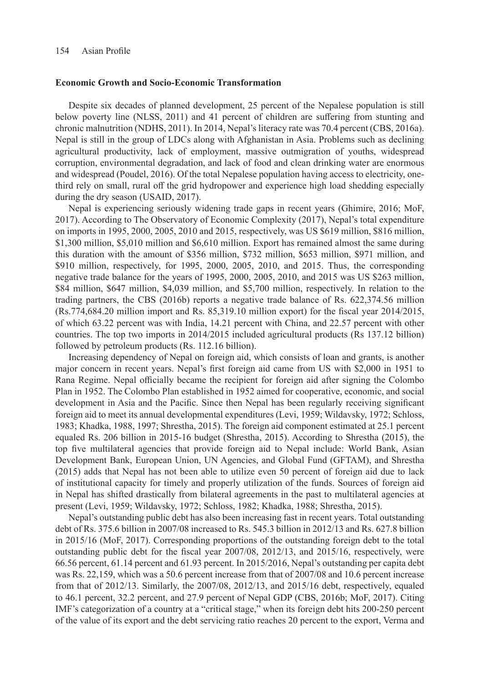### **Economic Growth and Socio-Economic Transformation**

Despite six decades of planned development, 25 percent of the Nepalese population is still below poverty line (NLSS, 2011) and 41 percent of children are suffering from stunting and chronic malnutrition (NDHS, 2011). In 2014, Nepal's literacy rate was 70.4 percent (CBS, 2016a). Nepal is still in the group of LDCs along with Afghanistan in Asia. Problems such as declining agricultural productivity, lack of employment, massive outmigration of youths, widespread corruption, environmental degradation, and lack of food and clean drinking water are enormous and widespread (Poudel, 2016). Of the total Nepalese population having access to electricity, onethird rely on small, rural off the grid hydropower and experience high load shedding especially during the dry season (USAID, 2017).

Nepal is experiencing seriously widening trade gaps in recent years (Ghimire, 2016; MoF, 2017). According to The Observatory of Economic Complexity (2017), Nepal's total expenditure on imports in 1995, 2000, 2005, 2010 and 2015, respectively, was US \$619 million, \$816 million, \$1,300 million, \$5,010 million and \$6,610 million. Export has remained almost the same during this duration with the amount of \$356 million, \$732 million, \$653 million, \$971 million, and \$910 million, respectively, for 1995, 2000, 2005, 2010, and 2015. Thus, the corresponding negative trade balance for the years of 1995, 2000, 2005, 2010, and 2015 was US \$263 million, \$84 million, \$647 million, \$4,039 million, and \$5,700 million, respectively. In relation to the trading partners, the CBS (2016b) reports a negative trade balance of Rs. 622,374.56 million (Rs.774,684.20 million import and Rs. 85,319.10 million export) for the fiscal year 2014/2015, of which 63.22 percent was with India, 14.21 percent with China, and 22.57 percent with other countries. The top two imports in 2014/2015 included agricultural products (Rs 137.12 billion) followed by petroleum products (Rs. 112.16 billion).

Increasing dependency of Nepal on foreign aid, which consists of loan and grants, is another major concern in recent years. Nepal's first foreign aid came from US with \$2,000 in 1951 to Rana Regime. Nepal officially became the recipient for foreign aid after signing the Colombo Plan in 1952. The Colombo Plan established in 1952 aimed for cooperative, economic, and social development in Asia and the Pacific. Since then Nepal has been regularly receiving significant foreign aid to meet its annual developmental expenditures (Levi, 1959; Wildavsky, 1972; Schloss, 1983; Khadka, 1988, 1997; Shrestha, 2015). The foreign aid component estimated at 25.1 percent equaled Rs. 206 billion in 2015-16 budget (Shrestha, 2015). According to Shrestha (2015), the top five multilateral agencies that provide foreign aid to Nepal include: World Bank, Asian Development Bank, European Union, UN Agencies, and Global Fund (GFTAM), and Shrestha (2015) adds that Nepal has not been able to utilize even 50 percent of foreign aid due to lack of institutional capacity for timely and properly utilization of the funds. Sources of foreign aid in Nepal has shifted drastically from bilateral agreements in the past to multilateral agencies at present (Levi, 1959; Wildavsky, 1972; Schloss, 1982; Khadka, 1988; Shrestha, 2015).

Nepal's outstanding public debt has also been increasing fast in recent years. Total outstanding debt of Rs. 375.6 billion in 2007/08 increased to Rs. 545.3 billion in 2012/13 and Rs. 627.8 billion in 2015/16 (MoF, 2017). Corresponding proportions of the outstanding foreign debt to the total outstanding public debt for the fiscal year 2007/08, 2012/13, and 2015/16, respectively, were 66.56 percent, 61.14 percent and 61.93 percent. In 2015/2016, Nepal's outstanding per capita debt was Rs. 22,159, which was a 50.6 percent increase from that of 2007/08 and 10.6 percent increase from that of 2012/13. Similarly, the 2007/08, 2012/13, and 2015/16 debt, respectively, equaled to 46.1 percent, 32.2 percent, and 27.9 percent of Nepal GDP (CBS, 2016b; MoF, 2017). Citing IMF's categorization of a country at a "critical stage," when its foreign debt hits 200-250 percent of the value of its export and the debt servicing ratio reaches 20 percent to the export, Verma and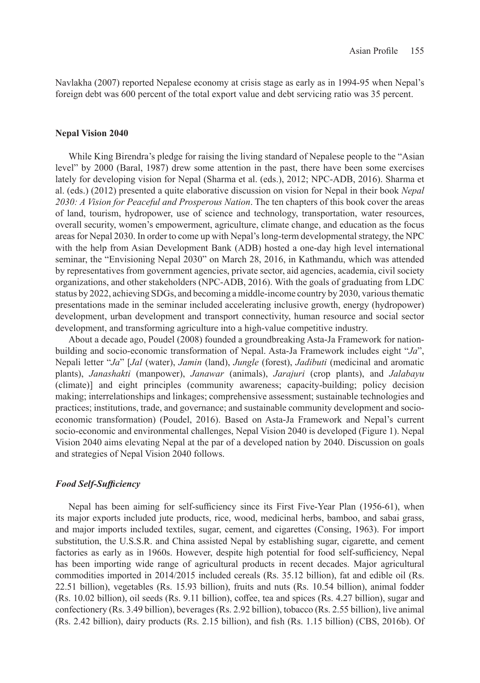Navlakha (2007) reported Nepalese economy at crisis stage as early as in 1994-95 when Nepal's foreign debt was 600 percent of the total export value and debt servicing ratio was 35 percent.

## **Nepal Vision 2040**

While King Birendra's pledge for raising the living standard of Nepalese people to the "Asian level" by 2000 (Baral, 1987) drew some attention in the past, there have been some exercises lately for developing vision for Nepal (Sharma et al. (eds.), 2012; NPC-ADB, 2016). Sharma et al. (eds.) (2012) presented a quite elaborative discussion on vision for Nepal in their book *Nepal 2030: A Vision for Peaceful and Prosperous Nation*. The ten chapters of this book cover the areas of land, tourism, hydropower, use of science and technology, transportation, water resources, overall security, women's empowerment, agriculture, climate change, and education as the focus areas for Nepal 2030. In order to come up with Nepal's long-term developmental strategy, the NPC with the help from Asian Development Bank (ADB) hosted a one-day high level international seminar, the "Envisioning Nepal 2030" on March 28, 2016, in Kathmandu, which was attended by representatives from government agencies, private sector, aid agencies, academia, civil society organizations, and other stakeholders (NPC-ADB, 2016). With the goals of graduating from LDC status by 2022, achieving SDGs, and becoming a middle-income country by 2030, various thematic presentations made in the seminar included accelerating inclusive growth, energy (hydropower) development, urban development and transport connectivity, human resource and social sector development, and transforming agriculture into a high-value competitive industry.

About a decade ago, Poudel (2008) founded a groundbreaking Asta-Ja Framework for nationbuilding and socio-economic transformation of Nepal. Asta-Ja Framework includes eight "*Ja*", Nepali letter "*Ja*" [*Jal* (water), *Jamin* (land), *Jungle* (forest), *Jadibuti* (medicinal and aromatic plants), *Janashakti* (manpower), *Janawar* (animals), *Jarajuri* (crop plants), and *Jalabayu*  (climate)] and eight principles (community awareness; capacity-building; policy decision making; interrelationships and linkages; comprehensive assessment; sustainable technologies and practices; institutions, trade, and governance; and sustainable community development and socioeconomic transformation) (Poudel, 2016). Based on Asta-Ja Framework and Nepal's current socio-economic and environmental challenges, Nepal Vision 2040 is developed (Figure 1). Nepal Vision 2040 aims elevating Nepal at the par of a developed nation by 2040. Discussion on goals and strategies of Nepal Vision 2040 follows.

# *Food Self-Sufficiency*

Nepal has been aiming for self-sufficiency since its First Five-Year Plan (1956-61), when its major exports included jute products, rice, wood, medicinal herbs, bamboo, and sabai grass, and major imports included textiles, sugar, cement, and cigarettes (Consing, 1963). For import substitution, the U.S.S.R. and China assisted Nepal by establishing sugar, cigarette, and cement factories as early as in 1960s. However, despite high potential for food self-sufficiency, Nepal has been importing wide range of agricultural products in recent decades. Major agricultural commodities imported in 2014/2015 included cereals (Rs. 35.12 billion), fat and edible oil (Rs. 22.51 billion), vegetables (Rs. 15.93 billion), fruits and nuts (Rs. 10.54 billion), animal fodder (Rs. 10.02 billion), oil seeds (Rs. 9.11 billion), coffee, tea and spices (Rs. 4.27 billion), sugar and confectionery (Rs. 3.49 billion), beverages (Rs. 2.92 billion), tobacco (Rs. 2.55 billion), live animal (Rs. 2.42 billion), dairy products (Rs. 2.15 billion), and fish (Rs. 1.15 billion) (CBS, 2016b). Of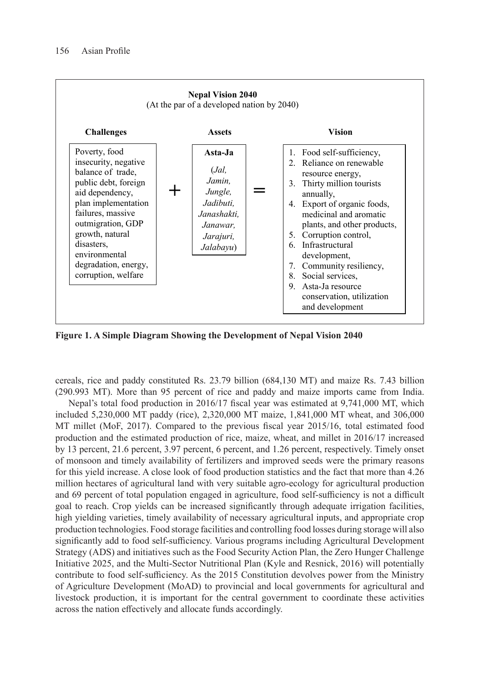

**Figure 1. A Simple Diagram Showing the Development of Nepal Vision 2040**

cereals, rice and paddy constituted Rs. 23.79 billion (684,130 MT) and maize Rs. 7.43 billion (290.993 MT). More than 95 percent of rice and paddy and maize imports came from India.

Nepal's total food production in 2016/17 fiscal year was estimated at 9,741,000 MT, which included 5,230,000 MT paddy (rice), 2,320,000 MT maize, 1,841,000 MT wheat, and 306,000 MT millet (MoF, 2017). Compared to the previous fiscal year 2015/16, total estimated food production and the estimated production of rice, maize, wheat, and millet in 2016/17 increased by 13 percent, 21.6 percent, 3.97 percent, 6 percent, and 1.26 percent, respectively. Timely onset of monsoon and timely availability of fertilizers and improved seeds were the primary reasons for this yield increase. A close look of food production statistics and the fact that more than 4.26 million hectares of agricultural land with very suitable agro-ecology for agricultural production and 69 percent of total population engaged in agriculture, food self-sufficiency is not a difficult goal to reach. Crop yields can be increased significantly through adequate irrigation facilities, high yielding varieties, timely availability of necessary agricultural inputs, and appropriate crop production technologies. Food storage facilities and controlling food losses during storage will also significantly add to food self-sufficiency. Various programs including Agricultural Development Strategy (ADS) and initiatives such as the Food Security Action Plan, the Zero Hunger Challenge Initiative 2025, and the Multi-Sector Nutritional Plan (Kyle and Resnick, 2016) will potentially contribute to food self-sufficiency. As the 2015 Constitution devolves power from the Ministry of Agriculture Development (MoAD) to provincial and local governments for agricultural and livestock production, it is important for the central government to coordinate these activities across the nation effectively and allocate funds accordingly.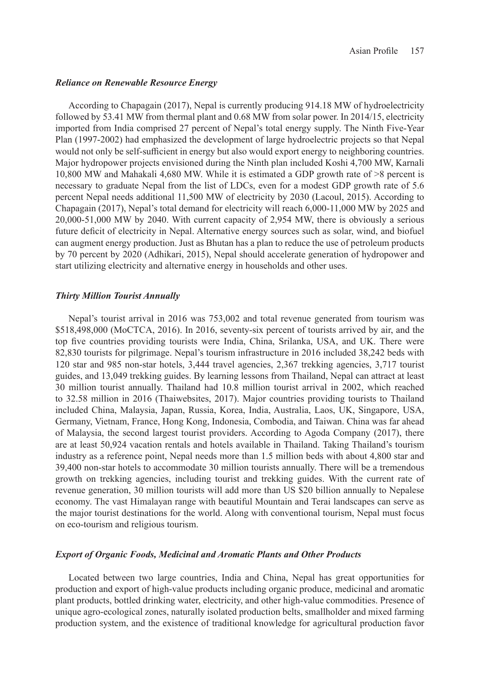# *Reliance on Renewable Resource Energy*

According to Chapagain (2017), Nepal is currently producing 914.18 MW of hydroelectricity followed by 53.41 MW from thermal plant and 0.68 MW from solar power. In 2014/15, electricity imported from India comprised 27 percent of Nepal's total energy supply. The Ninth Five-Year Plan (1997-2002) had emphasized the development of large hydroelectric projects so that Nepal would not only be self-sufficient in energy but also would export energy to neighboring countries. Major hydropower projects envisioned during the Ninth plan included Koshi 4,700 MW, Karnali 10,800 MW and Mahakali 4,680 MW. While it is estimated a GDP growth rate of >8 percent is necessary to graduate Nepal from the list of LDCs, even for a modest GDP growth rate of 5.6 percent Nepal needs additional 11,500 MW of electricity by 2030 (Lacoul, 2015). According to Chapagain (2017), Nepal's total demand for electricity will reach 6,000-11,000 MW by 2025 and 20,000-51,000 MW by 2040. With current capacity of 2,954 MW, there is obviously a serious future deficit of electricity in Nepal. Alternative energy sources such as solar, wind, and biofuel can augment energy production. Just as Bhutan has a plan to reduce the use of petroleum products by 70 percent by 2020 (Adhikari, 2015), Nepal should accelerate generation of hydropower and start utilizing electricity and alternative energy in households and other uses.

## *Thirty Million Tourist Annually*

Nepal's tourist arrival in 2016 was 753,002 and total revenue generated from tourism was \$518,498,000 (MoCTCA, 2016). In 2016, seventy-six percent of tourists arrived by air, and the top five countries providing tourists were India, China, Srilanka, USA, and UK. There were 82,830 tourists for pilgrimage. Nepal's tourism infrastructure in 2016 included 38,242 beds with 120 star and 985 non-star hotels, 3,444 travel agencies, 2,367 trekking agencies, 3,717 tourist guides, and 13,049 trekking guides. By learning lessons from Thailand, Nepal can attract at least 30 million tourist annually. Thailand had 10.8 million tourist arrival in 2002, which reached to 32.58 million in 2016 (Thaiwebsites, 2017). Major countries providing tourists to Thailand included China, Malaysia, Japan, Russia, Korea, India, Australia, Laos, UK, Singapore, USA, Germany, Vietnam, France, Hong Kong, Indonesia, Combodia, and Taiwan. China was far ahead of Malaysia, the second largest tourist providers. According to Agoda Company (2017), there are at least 50,924 vacation rentals and hotels available in Thailand. Taking Thailand's tourism industry as a reference point, Nepal needs more than 1.5 million beds with about 4,800 star and 39,400 non-star hotels to accommodate 30 million tourists annually. There will be a tremendous growth on trekking agencies, including tourist and trekking guides. With the current rate of revenue generation, 30 million tourists will add more than US \$20 billion annually to Nepalese economy. The vast Himalayan range with beautiful Mountain and Terai landscapes can serve as the major tourist destinations for the world. Along with conventional tourism, Nepal must focus on eco-tourism and religious tourism.

# *Export of Organic Foods, Medicinal and Aromatic Plants and Other Products*

Located between two large countries, India and China, Nepal has great opportunities for production and export of high-value products including organic produce, medicinal and aromatic plant products, bottled drinking water, electricity, and other high-value commodities. Presence of unique agro-ecological zones, naturally isolated production belts, smallholder and mixed farming production system, and the existence of traditional knowledge for agricultural production favor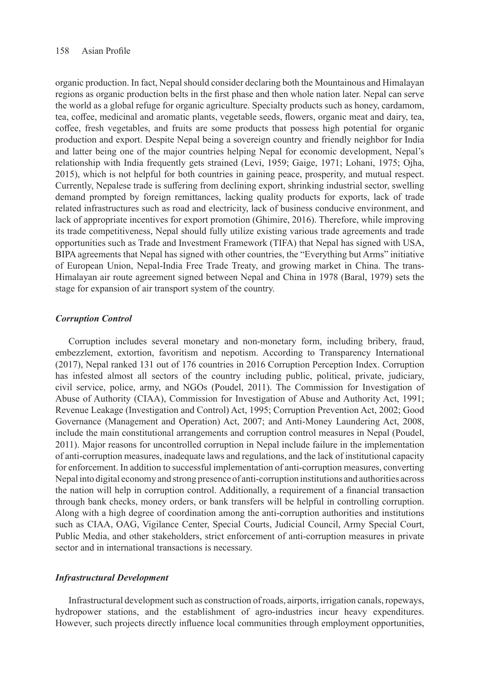organic production. In fact, Nepal should consider declaring both the Mountainous and Himalayan regions as organic production belts in the first phase and then whole nation later. Nepal can serve the world as a global refuge for organic agriculture. Specialty products such as honey, cardamom, tea, coffee, medicinal and aromatic plants, vegetable seeds, flowers, organic meat and dairy, tea, coffee, fresh vegetables, and fruits are some products that possess high potential for organic production and export. Despite Nepal being a sovereign country and friendly neighbor for India and latter being one of the major countries helping Nepal for economic development, Nepal's relationship with India frequently gets strained (Levi, 1959; Gaige, 1971; Lohani, 1975; Ojha, 2015), which is not helpful for both countries in gaining peace, prosperity, and mutual respect. Currently, Nepalese trade is suffering from declining export, shrinking industrial sector, swelling demand prompted by foreign remittances, lacking quality products for exports, lack of trade related infrastructures such as road and electricity, lack of business conducive environment, and lack of appropriate incentives for export promotion (Ghimire, 2016). Therefore, while improving its trade competitiveness, Nepal should fully utilize existing various trade agreements and trade opportunities such as Trade and Investment Framework (TIFA) that Nepal has signed with USA, BIPA agreements that Nepal has signed with other countries, the "Everything but Arms" initiative of European Union, Nepal-India Free Trade Treaty, and growing market in China. The trans-Himalayan air route agreement signed between Nepal and China in 1978 (Baral, 1979) sets the stage for expansion of air transport system of the country.

# *Corruption Control*

Corruption includes several monetary and non-monetary form, including bribery, fraud, embezzlement, extortion, favoritism and nepotism. According to Transparency International (2017), Nepal ranked 131 out of 176 countries in 2016 Corruption Perception Index. Corruption has infested almost all sectors of the country including public, political, private, judiciary, civil service, police, army, and NGOs (Poudel, 2011). The Commission for Investigation of Abuse of Authority (CIAA), Commission for Investigation of Abuse and Authority Act, 1991; Revenue Leakage (Investigation and Control) Act, 1995; Corruption Prevention Act, 2002; Good Governance (Management and Operation) Act, 2007; and Anti-Money Laundering Act, 2008, include the main constitutional arrangements and corruption control measures in Nepal (Poudel, 2011). Major reasons for uncontrolled corruption in Nepal include failure in the implementation of anti-corruption measures, inadequate laws and regulations, and the lack of institutional capacity for enforcement. In addition to successful implementation of anti-corruption measures, converting Nepal into digital economy and strong presence of anti-corruption institutions and authorities across the nation will help in corruption control. Additionally, a requirement of a financial transaction through bank checks, money orders, or bank transfers will be helpful in controlling corruption. Along with a high degree of coordination among the anti-corruption authorities and institutions such as CIAA, OAG, Vigilance Center, Special Courts, Judicial Council, Army Special Court, Public Media, and other stakeholders, strict enforcement of anti-corruption measures in private sector and in international transactions is necessary.

#### *Infrastructural Development*

Infrastructural development such as construction of roads, airports, irrigation canals, ropeways, hydropower stations, and the establishment of agro-industries incur heavy expenditures. However, such projects directly influence local communities through employment opportunities,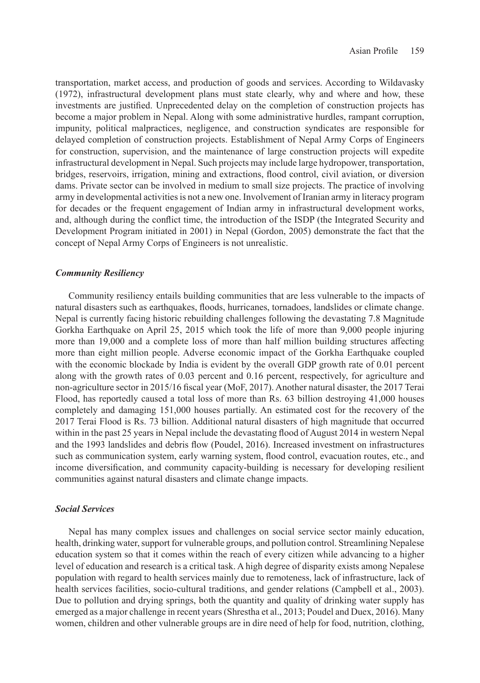transportation, market access, and production of goods and services. According to Wildavasky (1972), infrastructural development plans must state clearly, why and where and how, these investments are justified. Unprecedented delay on the completion of construction projects has become a major problem in Nepal. Along with some administrative hurdles, rampant corruption, impunity, political malpractices, negligence, and construction syndicates are responsible for delayed completion of construction projects. Establishment of Nepal Army Corps of Engineers for construction, supervision, and the maintenance of large construction projects will expedite infrastructural development in Nepal. Such projects may include large hydropower, transportation, bridges, reservoirs, irrigation, mining and extractions, flood control, civil aviation, or diversion dams. Private sector can be involved in medium to small size projects. The practice of involving army in developmental activities is not a new one. Involvement of Iranian army in literacy program for decades or the frequent engagement of Indian army in infrastructural development works, and, although during the conflict time, the introduction of the ISDP (the Integrated Security and Development Program initiated in 2001) in Nepal (Gordon, 2005) demonstrate the fact that the concept of Nepal Army Corps of Engineers is not unrealistic.

# *Community Resiliency*

Community resiliency entails building communities that are less vulnerable to the impacts of natural disasters such as earthquakes, floods, hurricanes, tornadoes, landslides or climate change. Nepal is currently facing historic rebuilding challenges following the devastating 7.8 Magnitude Gorkha Earthquake on April 25, 2015 which took the life of more than 9,000 people injuring more than 19,000 and a complete loss of more than half million building structures affecting more than eight million people. Adverse economic impact of the Gorkha Earthquake coupled with the economic blockade by India is evident by the overall GDP growth rate of 0.01 percent along with the growth rates of 0.03 percent and 0.16 percent, respectively, for agriculture and non-agriculture sector in 2015/16 fiscal year (MoF, 2017). Another natural disaster, the 2017 Terai Flood, has reportedly caused a total loss of more than Rs. 63 billion destroying 41,000 houses completely and damaging 151,000 houses partially. An estimated cost for the recovery of the 2017 Terai Flood is Rs. 73 billion. Additional natural disasters of high magnitude that occurred within in the past 25 years in Nepal include the devastating flood of August 2014 in western Nepal and the 1993 landslides and debris flow (Poudel, 2016). Increased investment on infrastructures such as communication system, early warning system, flood control, evacuation routes, etc., and income diversification, and community capacity-building is necessary for developing resilient communities against natural disasters and climate change impacts.

## *Social Services*

Nepal has many complex issues and challenges on social service sector mainly education, health, drinking water, support for vulnerable groups, and pollution control. Streamlining Nepalese education system so that it comes within the reach of every citizen while advancing to a higher level of education and research is a critical task. A high degree of disparity exists among Nepalese population with regard to health services mainly due to remoteness, lack of infrastructure, lack of health services facilities, socio-cultural traditions, and gender relations (Campbell et al., 2003). Due to pollution and drying springs, both the quantity and quality of drinking water supply has emerged as a major challenge in recent years (Shrestha et al., 2013; Poudel and Duex, 2016). Many women, children and other vulnerable groups are in dire need of help for food, nutrition, clothing,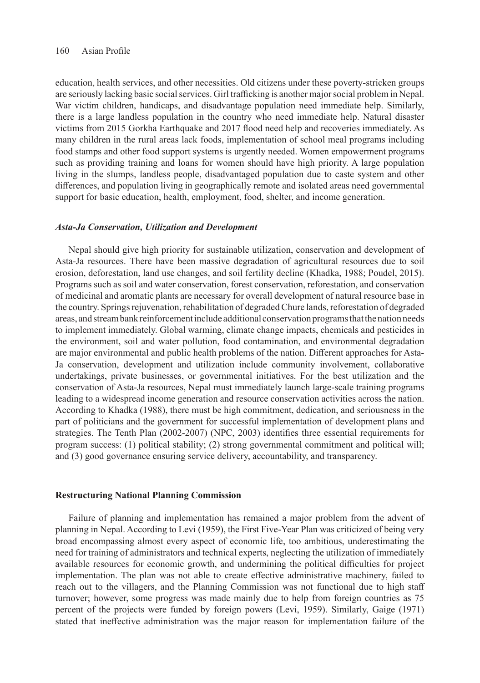education, health services, and other necessities. Old citizens under these poverty-stricken groups are seriously lacking basic social services. Girl trafficking is another major social problem in Nepal. War victim children, handicaps, and disadvantage population need immediate help. Similarly, there is a large landless population in the country who need immediate help. Natural disaster victims from 2015 Gorkha Earthquake and 2017 flood need help and recoveries immediately. As many children in the rural areas lack foods, implementation of school meal programs including food stamps and other food support systems is urgently needed. Women empowerment programs such as providing training and loans for women should have high priority. A large population living in the slumps, landless people, disadvantaged population due to caste system and other differences, and population living in geographically remote and isolated areas need governmental support for basic education, health, employment, food, shelter, and income generation.

## *Asta-Ja Conservation, Utilization and Development*

Nepal should give high priority for sustainable utilization, conservation and development of Asta-Ja resources. There have been massive degradation of agricultural resources due to soil erosion, deforestation, land use changes, and soil fertility decline (Khadka, 1988; Poudel, 2015). Programs such as soil and water conservation, forest conservation, reforestation, and conservation of medicinal and aromatic plants are necessary for overall development of natural resource base in the country. Springs rejuvenation, rehabilitation of degraded Chure lands, reforestation of degraded areas, and stream bank reinforcement include additional conservation programs that the nation needs to implement immediately. Global warming, climate change impacts, chemicals and pesticides in the environment, soil and water pollution, food contamination, and environmental degradation are major environmental and public health problems of the nation. Different approaches for Asta-Ja conservation, development and utilization include community involvement, collaborative undertakings, private businesses, or governmental initiatives. For the best utilization and the conservation of Asta-Ja resources, Nepal must immediately launch large-scale training programs leading to a widespread income generation and resource conservation activities across the nation. According to Khadka (1988), there must be high commitment, dedication, and seriousness in the part of politicians and the government for successful implementation of development plans and strategies. The Tenth Plan (2002-2007) (NPC, 2003) identifies three essential requirements for program success: (1) political stability; (2) strong governmental commitment and political will; and (3) good governance ensuring service delivery, accountability, and transparency.

#### **Restructuring National Planning Commission**

Failure of planning and implementation has remained a major problem from the advent of planning in Nepal. According to Levi (1959), the First Five-Year Plan was criticized of being very broad encompassing almost every aspect of economic life, too ambitious, underestimating the need for training of administrators and technical experts, neglecting the utilization of immediately available resources for economic growth, and undermining the political difficulties for project implementation. The plan was not able to create effective administrative machinery, failed to reach out to the villagers, and the Planning Commission was not functional due to high staff turnover; however, some progress was made mainly due to help from foreign countries as 75 percent of the projects were funded by foreign powers (Levi, 1959). Similarly, Gaige (1971) stated that ineffective administration was the major reason for implementation failure of the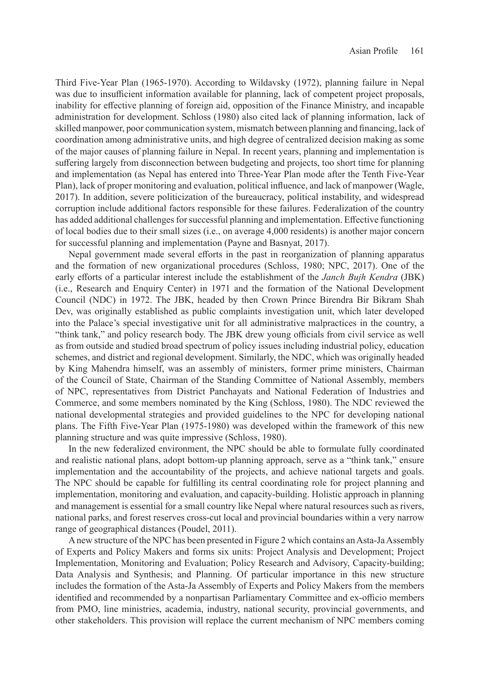Third Five-Year Plan (1965-1970). According to Wildavsky (1972), planning failure in Nepal was due to insufficient information available for planning, lack of competent project proposals, inability for effective planning of foreign aid, opposition of the Finance Ministry, and incapable administration for development. Schloss (1980) also cited lack of planning information, lack of skilled manpower, poor communication system, mismatch between planning and financing, lack of coordination among administrative units, and high degree of centralized decision making as some of the major causes of planning failure in Nepal. In recent years, planning and implementation is suffering largely from disconnection between budgeting and projects, too short time for planning and implementation (as Nepal has entered into Three-Year Plan mode after the Tenth Five-Year Plan), lack of proper monitoring and evaluation, political influence, and lack of manpower (Wagle, 2017). In addition, severe politicization of the bureaucracy, political instability, and widespread corruption include additional factors responsible for these failures. Federalization of the country has added additional challenges for successful planning and implementation. Effective functioning of local bodies due to their small sizes (i.e., on average 4,000 residents) is another major concern for successful planning and implementation (Payne and Basnyat, 2017).

Nepal government made several efforts in the past in reorganization of planning apparatus and the formation of new organizational procedures (Schloss, 1980; NPC, 2017). One of the early efforts of a particular interest include the establishment of the *Janch Bujh Kendra* (JBK) (i.e., Research and Enquiry Center) in 1971 and the formation of the National Development Council (NDC) in 1972. The JBK, headed by then Crown Prince Birendra Bir Bikram Shah Dev, was originally established as public complaints investigation unit, which later developed into the Palace's special investigative unit for all administrative malpractices in the country, a "think tank," and policy research body. The JBK drew young officials from civil service as well as from outside and studied broad spectrum of policy issues including industrial policy, education schemes, and district and regional development. Similarly, the NDC, which was originally headed by King Mahendra himself, was an assembly of ministers, former prime ministers, Chairman of the Council of State, Chairman of the Standing Committee of National Assembly, members of NPC, representatives from District Panchayats and National Federation of Industries and Commerce, and some members nominated by the King (Schloss, 1980). The NDC reviewed the national developmental strategies and provided guidelines to the NPC for developing national plans. The Fifth Five-Year Plan (1975-1980) was developed within the framework of this new planning structure and was quite impressive (Schloss, 1980).

In the new federalized environment, the NPC should be able to formulate fully coordinated and realistic national plans, adopt bottom-up planning approach, serve as a "think tank," ensure implementation and the accountability of the projects, and achieve national targets and goals. The NPC should be capable for fulfilling its central coordinating role for project planning and implementation, monitoring and evaluation, and capacity-building. Holistic approach in planning and management is essential for a small country like Nepal where natural resources such as rivers, national parks, and forest reserves cross-cut local and provincial boundaries within a very narrow range of geographical distances (Poudel, 2011).

A new structure of the NPC has been presented in Figure 2 which contains an Asta-Ja Assembly of Experts and Policy Makers and forms six units: Project Analysis and Development; Project Implementation, Monitoring and Evaluation; Policy Research and Advisory, Capacity-building; Data Analysis and Synthesis; and Planning. Of particular importance in this new structure includes the formation of the Asta-Ja Assembly of Experts and Policy Makers from the members identified and recommended by a nonpartisan Parliamentary Committee and ex-officio members from PMO, line ministries, academia, industry, national security, provincial governments, and other stakeholders. This provision will replace the current mechanism of NPC members coming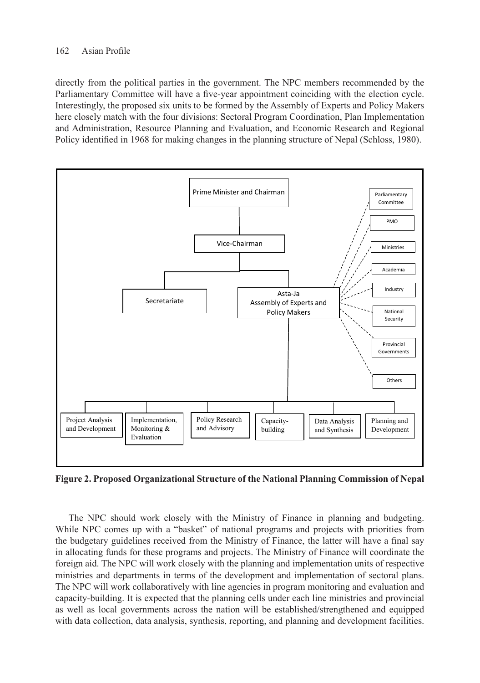directly from the political parties in the government. The NPC members recommended by the Parliamentary Committee will have a five-year appointment coinciding with the election cycle. Interestingly, the proposed six units to be formed by the Assembly of Experts and Policy Makers here closely match with the four divisions: Sectoral Program Coordination, Plan Implementation and Administration, Resource Planning and Evaluation, and Economic Research and Regional Policy identified in 1968 for making changes in the planning structure of Nepal (Schloss, 1980).



**Figure 2. Proposed Organizational Structure of the National Planning Commission of Nepal**

The NPC should work closely with the Ministry of Finance in planning and budgeting. While NPC comes up with a "basket" of national programs and projects with priorities from the budgetary guidelines received from the Ministry of Finance, the latter will have a final say in allocating funds for these programs and projects. The Ministry of Finance will coordinate the foreign aid. The NPC will work closely with the planning and implementation units of respective ministries and departments in terms of the development and implementation of sectoral plans. The NPC will work collaboratively with line agencies in program monitoring and evaluation and capacity-building. It is expected that the planning cells under each line ministries and provincial as well as local governments across the nation will be established/strengthened and equipped with data collection, data analysis, synthesis, reporting, and planning and development facilities.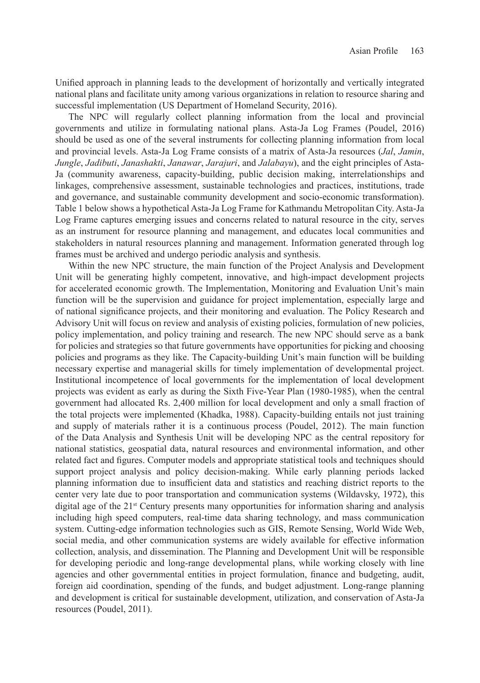Unified approach in planning leads to the development of horizontally and vertically integrated national plans and facilitate unity among various organizations in relation to resource sharing and successful implementation (US Department of Homeland Security, 2016).

The NPC will regularly collect planning information from the local and provincial governments and utilize in formulating national plans. Asta-Ja Log Frames (Poudel, 2016) should be used as one of the several instruments for collecting planning information from local and provincial levels. Asta-Ja Log Frame consists of a matrix of Asta-Ja resources (*Jal*, *Jamin*, *Jungle*, *Jadibuti*, *Janashakti*, *Janawar*, *Jarajuri*, and *Jalabayu*), and the eight principles of Asta-Ja (community awareness, capacity-building, public decision making, interrelationships and linkages, comprehensive assessment, sustainable technologies and practices, institutions, trade and governance, and sustainable community development and socio-economic transformation). Table 1 below shows a hypothetical Asta-Ja Log Frame for Kathmandu Metropolitan City. Asta-Ja Log Frame captures emerging issues and concerns related to natural resource in the city, serves as an instrument for resource planning and management, and educates local communities and stakeholders in natural resources planning and management. Information generated through log frames must be archived and undergo periodic analysis and synthesis.

Within the new NPC structure, the main function of the Project Analysis and Development Unit will be generating highly competent, innovative, and high-impact development projects for accelerated economic growth. The Implementation, Monitoring and Evaluation Unit's main function will be the supervision and guidance for project implementation, especially large and of national significance projects, and their monitoring and evaluation. The Policy Research and Advisory Unit will focus on review and analysis of existing policies, formulation of new policies, policy implementation, and policy training and research. The new NPC should serve as a bank for policies and strategies so that future governments have opportunities for picking and choosing policies and programs as they like. The Capacity-building Unit's main function will be building necessary expertise and managerial skills for timely implementation of developmental project. Institutional incompetence of local governments for the implementation of local development projects was evident as early as during the Sixth Five-Year Plan (1980-1985), when the central government had allocated Rs. 2,400 million for local development and only a small fraction of the total projects were implemented (Khadka, 1988). Capacity-building entails not just training and supply of materials rather it is a continuous process (Poudel, 2012). The main function of the Data Analysis and Synthesis Unit will be developing NPC as the central repository for national statistics, geospatial data, natural resources and environmental information, and other related fact and figures. Computer models and appropriate statistical tools and techniques should support project analysis and policy decision-making. While early planning periods lacked planning information due to insufficient data and statistics and reaching district reports to the center very late due to poor transportation and communication systems (Wildavsky, 1972), this digital age of the 21<sup>st</sup> Century presents many opportunities for information sharing and analysis including high speed computers, real-time data sharing technology, and mass communication system. Cutting-edge information technologies such as GIS, Remote Sensing, World Wide Web, social media, and other communication systems are widely available for effective information collection, analysis, and dissemination. The Planning and Development Unit will be responsible for developing periodic and long-range developmental plans, while working closely with line agencies and other governmental entities in project formulation, finance and budgeting, audit, foreign aid coordination, spending of the funds, and budget adjustment. Long-range planning and development is critical for sustainable development, utilization, and conservation of Asta-Ja resources (Poudel, 2011).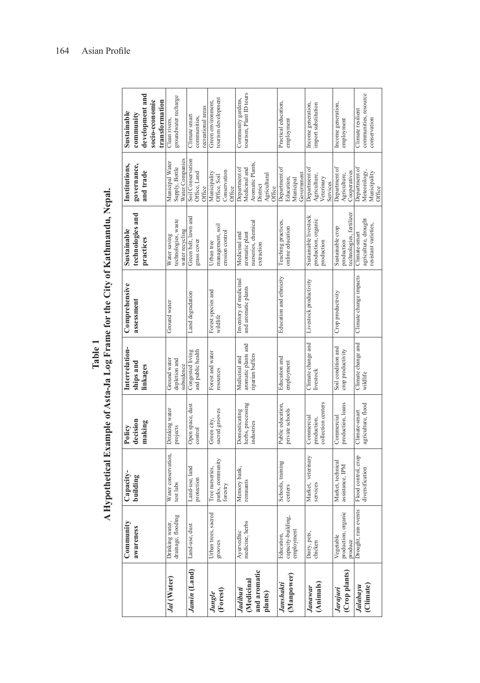|                                                   | Commanity<br>awareness                         | Capacity-<br>building                           | decision<br>making<br>Policy                     | Interrelation-<br>ships and<br>linkages                  | Comprehensive<br>assessment                   | technologies and<br>Sustainable<br>practices                         | governance,<br>Institutions,<br>and trade                                                | development and<br>socio-economic<br>transformation<br>Sustainable<br>community |  |
|---------------------------------------------------|------------------------------------------------|-------------------------------------------------|--------------------------------------------------|----------------------------------------------------------|-----------------------------------------------|----------------------------------------------------------------------|------------------------------------------------------------------------------------------|---------------------------------------------------------------------------------|--|
| Jal (Water)                                       | drainage, flooding<br>Drinking water,          | Water conservation,<br>test labs                | Drinking water<br>projects                       | Ground water<br>depletion and<br>subsidence              | Ground water                                  | technologies, waste<br>water recycling<br>Water saving               | Water Companies<br>Municipal Water<br>Supply, Bottle                                     | groundwater recharge<br>Clean rivers,                                           |  |
| Jamin (Land)                                      | Land-use, dust                                 | Land-use, land<br>protection                    | Open space, dust<br>control                      | Congested living<br>and public health                    | Land degradation                              | Green belt, lawn and<br>grass cover                                  | Soil Conservation<br>Office, Land<br>Office                                              | recreational areas<br>Climate smart<br>communities,                             |  |
| (Forest)<br>Jungle                                | Urban trees, sacred<br>grooves                 | parks, community<br>Tree nurseries,<br>forestry | sacred grooves<br>Green city,                    | Forest and water<br>resources                            | Forest species and<br>wildlife                | management, soil<br>erosion control<br>Urban tree                    | Conservation<br>Municipality<br>Office, Soil<br>Office                                   | tourism development<br>Green environment,                                       |  |
| and aromatic<br>(Medicinal<br>Jadibuti<br>plants) | medicine, herbs<br>Ayurvedhic                  | Memory bank,<br>remnants                        | herbs, processing<br>Domesticating<br>industries | aromatic plants and<br>riparian buffers<br>Medicinal and | Inventory of medicinal<br>and aromatic plants | nurseries, chemical<br>Medicinal and<br>aromatic plant<br>extraction | Aromatic Plants,<br>Department of<br>Medicinal and<br>Agricultural<br>District<br>Office | tourism, Plant ID tours<br>Community gardens,                                   |  |
| (Manpower)<br>Janshakti                           | capacity-building,<br>employment<br>Education, | Schools, training<br>centers                    | Public education.<br>private schools             | Education and<br>employment                              | Education and ethnicity                       | Teaching practices,<br>online education                              | Department of<br>Government<br>Education,<br>Municipal                                   | Practical education,<br>employment                                              |  |
| (Animals)<br>Janawar                              | Dairy, pets,<br>chicken                        | Market, veterinary<br>services                  | collection centers<br>Commercial<br>production,  | Climate change and<br>livestock                          | Livestock productivity                        | Sustainable livestock<br>production, organic<br>production           | Department of<br>Agriculture,<br>Veterinary<br>Services                                  | Income generation,<br>import substitution                                       |  |
| (Crop plants)<br>Jarajuri                         | production, organic<br>Vegetable<br>produce    | Market, technical<br>assistance, IPM            | production, loans<br>Commercial                  | Soil condition and<br>crop productivity                  | Crop productivity                             | echnologies, fertilizer<br>Sustainable crop<br>production            | Department of<br>Cooperatives<br>Agriculture,                                            | Income generation,<br>employment                                                |  |
| (Climate)<br>Jalabayu                             | Drought, rain events                           | Flood control, crop<br>diversification          | agriculture, flood<br>Climate-smart              | Climate change and<br>wildlife                           | Climate change impacts                        | agriculture, drought<br>resistant varieties,<br>Climate-smart        | Department of<br>Meteorology,<br>Municipality<br>Office                                  | communities, resource<br>Climate resilient<br>conservation                      |  |

Table 1<br>A Hypothetical Example of Asta-Ja Log Frame for the City of Kathmandu, Nepal. **A Hypothetical Example of Asta-Ja Log Frame for the City of Kathmandu, Nepal.**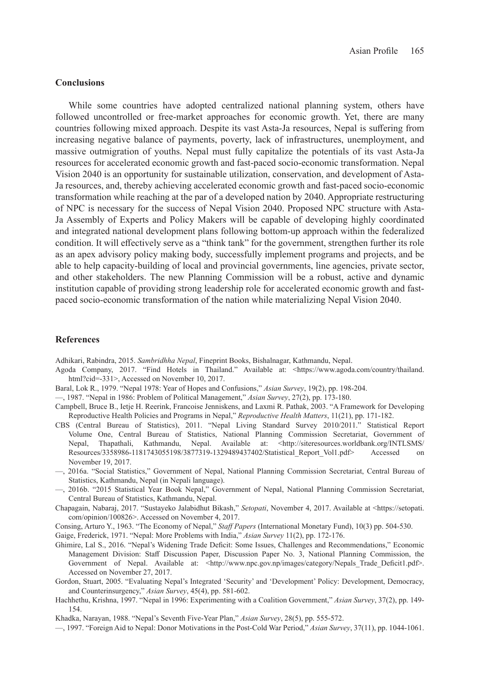# **Conclusions**

While some countries have adopted centralized national planning system, others have followed uncontrolled or free-market approaches for economic growth. Yet, there are many countries following mixed approach. Despite its vast Asta-Ja resources, Nepal is suffering from increasing negative balance of payments, poverty, lack of infrastructures, unemployment, and massive outmigration of youths. Nepal must fully capitalize the potentials of its vast Asta-Ja resources for accelerated economic growth and fast-paced socio-economic transformation. Nepal Vision 2040 is an opportunity for sustainable utilization, conservation, and development of Asta-Ja resources, and, thereby achieving accelerated economic growth and fast-paced socio-economic transformation while reaching at the par of a developed nation by 2040. Appropriate restructuring of NPC is necessary for the success of Nepal Vision 2040. Proposed NPC structure with Asta-Ja Assembly of Experts and Policy Makers will be capable of developing highly coordinated and integrated national development plans following bottom-up approach within the federalized condition. It will effectively serve as a "think tank" for the government, strengthen further its role as an apex advisory policy making body, successfully implement programs and projects, and be able to help capacity-building of local and provincial governments, line agencies, private sector, and other stakeholders. The new Planning Commission will be a robust, active and dynamic institution capable of providing strong leadership role for accelerated economic growth and fastpaced socio-economic transformation of the nation while materializing Nepal Vision 2040.

## **References**

Adhikari, Rabindra, 2015. *Sambridhha Nepal*, Fineprint Books, Bishalnagar, Kathmandu, Nepal.

- Agoda Company, 2017. "Find Hotels in Thailand." Available at: <https://www.agoda.com/country/thailand. html?cid=-331>, Accessed on November 10, 2017.
- Baral, Lok R., 1979. "Nepal 1978: Year of Hopes and Confusions," *Asian Survey*, 19(2), pp. 198-204.

—, 1987. "Nepal in 1986: Problem of Political Management," *Asian Survey*, 27(2), pp. 173-180.

- Campbell, Bruce B., Ietje H. Reerink, Francoise Jenniskens, and Laxmi R. Pathak, 2003. "A Framework for Developing Reproductive Health Policies and Programs in Nepal," *Reproductive Health Matters*, 11(21), pp. 171-182.
- CBS (Central Bureau of Statistics), 2011. "Nepal Living Standard Survey 2010/2011." Statistical Report Volume One, Central Bureau of Statistics, National Planning Commission Secretariat, Government of Nepal, Thapathali, Kathmandu, Nepal. Available at: <http://siteresources.worldbank.org/INTLSMS/ Resources/3358986-1181743055198/3877319-1329489437402/Statistical\_Report\_Vol1.pdf> Accessed on November 19, 2017.
- —, 2016a. "Social Statistics," Government of Nepal, National Planning Commission Secretariat, Central Bureau of Statistics, Kathmandu, Nepal (in Nepali language).
- —, 2016b. "2015 Statistical Year Book Nepal," Government of Nepal, National Planning Commission Secretariat, Central Bureau of Statistics, Kathmandu, Nepal.
- Chapagain, Nabaraj, 2017. "Sustayeko Jalabidhut Bikash," *Setopati*, November 4, 2017. Available at <https://setopati. com/opinion/100826>. Accessed on November 4, 2017.
- Consing, Arturo Y., 1963. "The Economy of Nepal," *Staff Papers* (International Monetary Fund), 10(3) pp. 504-530.

Gaige, Frederick, 1971. "Nepal: More Problems with India," *Asian Survey* 11(2), pp. 172-176.

- Ghimire, Lal S., 2016. "Nepal's Widening Trade Deficit: Some Issues, Challenges and Recommendations," Economic Management Division: Staff Discussion Paper, Discussion Paper No. 3, National Planning Commission, the Government of Nepal. Available at: <http://www.npc.gov.np/images/category/Nepals\_Trade\_Deficit1.pdf>. Accessed on November 27, 2017.
- Gordon, Stuart, 2005. "Evaluating Nepal's Integrated 'Security' and 'Development' Policy: Development, Democracy, and Counterinsurgency," *Asian Survey*, 45(4), pp. 581-602.
- Hachhethu, Krishna, 1997. "Nepal in 1996: Experimenting with a Coalition Government," *Asian Survey*, 37(2), pp. 149- 154.
- Khadka, Narayan, 1988. "Nepal's Seventh Five-Year Plan," *Asian Survey*, 28(5), pp. 555-572.
- —, 1997. "Foreign Aid to Nepal: Donor Motivations in the Post-Cold War Period," *Asian Survey*, 37(11), pp. 1044-1061.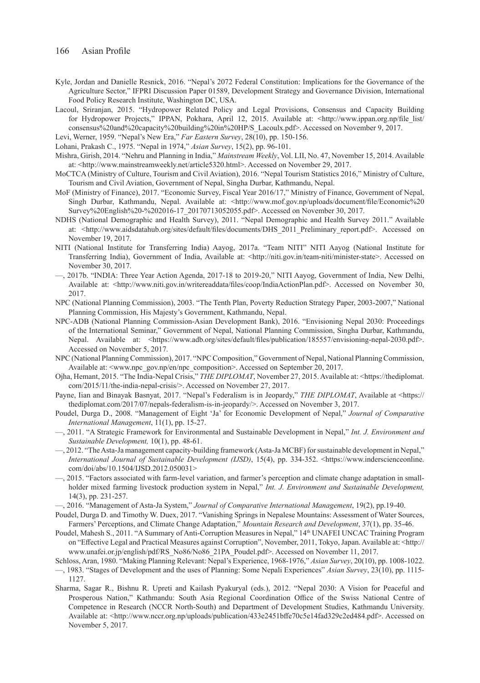- Kyle, Jordan and Danielle Resnick, 2016. "Nepal's 2072 Federal Constitution: Implications for the Governance of the Agriculture Sector," IFPRI Discussion Paper 01589, Development Strategy and Governance Division, International Food Policy Research Institute, Washington DC, USA.
- Lacoul, Sriranjan, 2015. "Hydropower Related Policy and Legal Provisions, Consensus and Capacity Building for Hydropower Projects," IPPAN, Pokhara, April 12, 2015. Available at: <http://www.ippan.org.np/file\_list/ consensus%20and%20capacity%20building%20in%20HP/S\_Lacoulx.pdf>. Accessed on November 9, 2017.

Levi, Werner, 1959. "Nepal's New Era," *Far Eastern Survey*, 28(10), pp. 150-156.

Lohani, Prakash C., 1975. "Nepal in 1974," *Asian Survey*, 15(2), pp. 96-101.

- Mishra, Girish, 2014. "Nehru and Planning in India," *Mainstream Weekly*, Vol. LII, No. 47, November 15, 2014. Available at: <http://www.mainstreamweekly.net/article5320.html>. Accessed on November 29, 2017.
- MoCTCA (Ministry of Culture, Tourism and Civil Aviation), 2016. "Nepal Tourism Statistics 2016," Ministry of Culture, Tourism and Civil Aviation, Government of Nepal, Singha Durbar, Kathmandu, Nepal.
- MoF (Ministry of Finance), 2017. "Economic Survey, Fiscal Year 2016/17," Ministry of Finance, Government of Nepal, Singh Durbar, Kathmandu, Nepal. Available at: <http://www.mof.gov.np/uploads/document/file/Economic%20 Survey%20English%20-%202016-17\_20170713052055.pdf>. Accessed on November 30, 2017.
- NDHS (National Demographic and Health Survey), 2011. "Nepal Demographic and Health Survey 2011." Available at: <http://www.aidsdatahub.org/sites/default/files/documents/DHS\_2011\_Preliminary\_report.pdf>. Accessed on November 19, 2017.
- NITI (National Institute for Transferring India) Aayog, 2017a. "Team NITI" NITI Aayog (National Institute for Transferring India), Government of India, Available at: <http://niti.gov.in/team-niti/minister-state>. Accessed on November 30, 2017.
- —, 2017b. "INDIA: Three Year Action Agenda, 2017-18 to 2019-20," NITI Aayog, Government of India, New Delhi, Available at: <http://www.niti.gov.in/writereaddata/files/coop/IndiaActionPlan.pdf>. Accessed on November 30, 2017.
- NPC (National Planning Commission), 2003. "The Tenth Plan, Poverty Reduction Strategy Paper, 2003-2007," National Planning Commission, His Majesty's Government, Kathmandu, Nepal.
- NPC-ADB (National Planning Commission-Asian Development Bank), 2016. "Envisioning Nepal 2030: Proceedings of the International Seminar," Government of Nepal, National Planning Commission, Singha Durbar, Kathmandu, Nepal. Available at: <https://www.adb.org/sites/default/files/publication/185557/envisioning-nepal-2030.pdf>. Accessed on November 5, 2017.
- NPC (National Planning Commission), 2017. "NPC Composition," Government of Nepal, National Planning Commission, Available at: <www.npc\_gov.np/en/npc\_composition>. Accessed on September 20, 2017.
- Ojha, Hemant, 2015. "The India-Nepal Crisis," *THE DIPLOMAT*, November 27, 2015. Available at: <https://thediplomat. com/2015/11/the-india-nepal-crisis/>. Accessed on November 27, 2017.
- Payne, Iian and Binayak Basnyat, 2017. "Nepal's Federalism is in Jeopardy," *THE DIPLOMAT*, Available at <https:// thediplomat.com/2017/07/nepals-federalism-is-in-jeopardy/>. Accessed on November 3, 2017.
- Poudel, Durga D., 2008. "Management of Eight 'Ja' for Economic Development of Nepal," *Journal of Comparative International Management*, 11(1), pp. 15-27.
- —, 2011. "A Strategic Framework for Environmental and Sustainable Development in Nepal," *Int. J. Environment and Sustainable Development,* 10(1), pp. 48-61.
- —, 2012. "The Asta-Ja management capacity-building framework (Asta-Ja MCBF) for sustainable development in Nepal," *International Journal of Sustainable Development (IJSD)*, 15(4), pp. 334-352. <https://www.inderscienceonline. com/doi/abs/10.1504/IJSD.2012.050031>
- —, 2015. "Factors associated with farm-level variation, and farmer's perception and climate change adaptation in smallholder mixed farming livestock production system in Nepal," *Int. J. Environment and Sustainable Development,* 14(3), pp. 231-257.
- —, 2016. "Management of Asta-Ja System," *Journal of Comparative International Management*, 19(2), pp.19-40.
- Poudel, Durga D. and Timothy W. Duex, 2017. "Vanishing Springs in Nepalese Mountains: Assessment of Water Sources, Farmers' Perceptions, and Climate Change Adaptation," *Mountain Research and Development*, 37(1), pp. 35-46.
- Poudel, Mahesh S., 2011. "A Summary of Anti-Corruption Measures in Nepal," 14th UNAFEI UNCAC Training Program on "Effective Legal and Practical Measures against Corruption", November, 2011, Tokyo, Japan. Available at: <http:// www.unafei.or.jp/english/pdf/RS\_No86/No86\_21PA\_Poudel.pdf>. Accessed on November 11, 2017.
- Schloss, Aran, 1980. "Making Planning Relevant: Nepal's Experience, 1968-1976," *Asian Survey*, 20(10), pp. 1008-1022. —, 1983. "Stages of Development and the uses of Planning: Some Nepali Experiences" *Asian Survey*, 23(10), pp. 1115-
- 1127.
- Sharma, Sagar R., Bishnu R. Upreti and Kailash Pyakuryal (eds.), 2012. "Nepal 2030: A Vision for Peaceful and Prosperous Nation," Kathmandu: South Asia Regional Coordination Office of the Swiss National Centre of Competence in Research (NCCR North-South) and Department of Development Studies, Kathmandu University. Available at: <http://www.nccr.org.np/uploads/publication/433e2451bffe70c5e14fad329c2ed484.pdf>. Accessed on November 5, 2017.